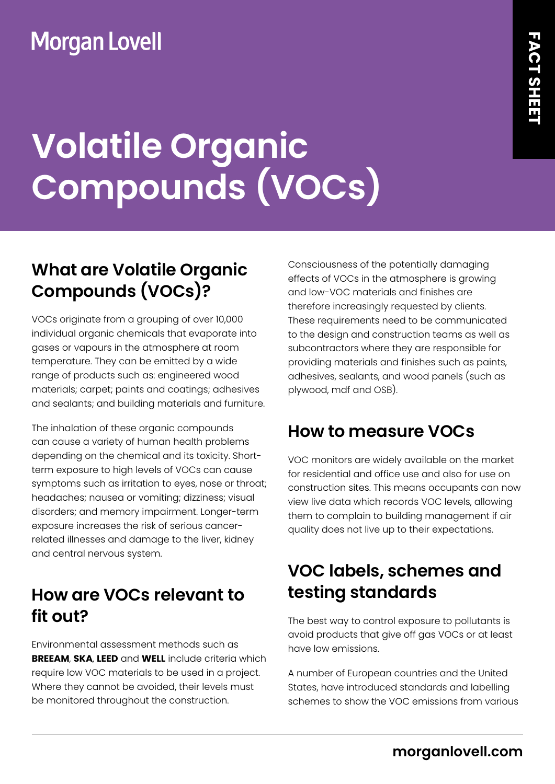## **Morgan Lovell**

# **Volatile Organic Compounds (VOCs)**

### **What are Volatile Organic Compounds (VOCs)?**

VOCs originate from a grouping of over 10,000 individual organic chemicals that evaporate into gases or vapours in the atmosphere at room temperature. They can be emitted by a wide range of products such as: engineered wood materials; carpet; paints and coatings; adhesives and sealants; and building materials and furniture.

The inhalation of these organic compounds can cause a variety of human health problems depending on the chemical and its toxicity. Shortterm exposure to high levels of VOCs can cause symptoms such as irritation to eyes, nose or throat; headaches; nausea or vomiting; dizziness; visual disorders; and memory impairment. Longer-term exposure increases the risk of serious cancerrelated illnesses and damage to the liver, kidney and central nervous system.

#### **How are VOCs relevant to fit out?**

Environmental assessment methods such as **BREEAM**, **SKA**, **LEED** and **WELL** include criteria which require low VOC materials to be used in a project. Where they cannot be avoided, their levels must be monitored throughout the construction.

Consciousness of the potentially damaging effects of VOCs in the atmosphere is growing and low-VOC materials and finishes are therefore increasingly requested by clients. These requirements need to be communicated to the design and construction teams as well as subcontractors where they are responsible for providing materials and finishes such as paints, adhesives, sealants, and wood panels (such as plywood, mdf and OSB).

#### **How to measure VOCs**

VOC monitors are widely available on the market for residential and office use and also for use on construction sites. This means occupants can now view live data which records VOC levels, allowing them to complain to building management if air quality does not live up to their expectations.

### **VOC labels, schemes and testing standards**

The best way to control exposure to pollutants is avoid products that give off gas VOCs or at least have low emissions.

A number of European countries and the United States, have introduced standards and labelling schemes to show the VOC emissions from various